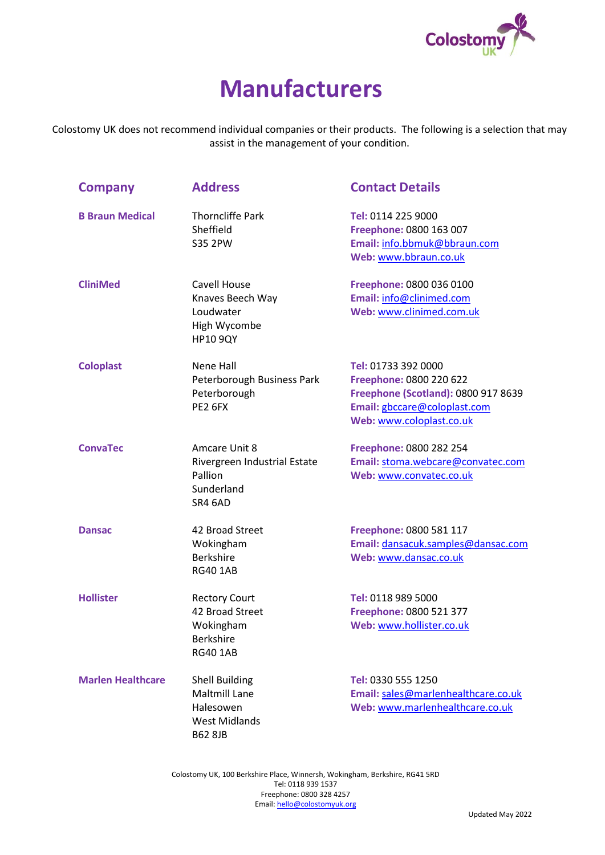

## **Manufacturers**

Colostomy UK does not recommend individual companies or their products. The following is a selection that may assist in the management of your condition.

| <b>Company</b>           | <b>Address</b>                                                                                       | <b>Contact Details</b>                                                                                                                            |
|--------------------------|------------------------------------------------------------------------------------------------------|---------------------------------------------------------------------------------------------------------------------------------------------------|
| <b>B Braun Medical</b>   | <b>Thorncliffe Park</b><br>Sheffield<br><b>S35 2PW</b>                                               | Tel: 0114 225 9000<br>Freephone: 0800 163 007<br>Email: info.bbmuk@bbraun.com<br>Web: www.bbraun.co.uk                                            |
| <b>CliniMed</b>          | <b>Cavell House</b><br>Knaves Beech Way<br>Loudwater<br>High Wycombe<br><b>HP10 9QY</b>              | Freephone: 0800 036 0100<br>Email: info@clinimed.com<br>Web: www.clinimed.com.uk                                                                  |
| <b>Coloplast</b>         | Nene Hall<br>Peterborough Business Park<br>Peterborough<br>PE2 6FX                                   | Tel: 01733 392 0000<br>Freephone: 0800 220 622<br>Freephone (Scotland): 0800 917 8639<br>Email: gbccare@coloplast.com<br>Web: www.coloplast.co.uk |
| <b>ConvaTec</b>          | Amcare Unit 8<br>Rivergreen Industrial Estate<br>Pallion<br>Sunderland<br>SR4 6AD                    | Freephone: 0800 282 254<br>Email: stoma.webcare@convatec.com<br>Web: www.convatec.co.uk                                                           |
| <b>Dansac</b>            | 42 Broad Street<br>Wokingham<br><b>Berkshire</b><br><b>RG40 1AB</b>                                  | Freephone: 0800 581 117<br>Email: dansacuk.samples@dansac.com<br>Web: www.dansac.co.uk                                                            |
| <b>Hollister</b>         | <b>Rectory Court</b><br>42 Broad Street<br>Wokingham<br><b>Berkshire</b><br><b>RG40 1AB</b>          | Tel: 0118 989 5000<br>Freephone: 0800 521 377<br>Web: www.hollister.co.uk                                                                         |
| <b>Marlen Healthcare</b> | <b>Shell Building</b><br><b>Maltmill Lane</b><br>Halesowen<br><b>West Midlands</b><br><b>B62 8JB</b> | Tel: 0330 555 1250<br>Email: sales@marlenhealthcare.co.uk<br>Web: www.marlenhealthcare.co.uk                                                      |

Colostomy UK, 100 Berkshire Place, Winnersh, Wokingham, Berkshire, RG41 5RD Tel: 0118 939 1537 Freephone: 0800 328 4257 Email: hello[@colostomyuk.org](mailto:info@colostomyuk.org)